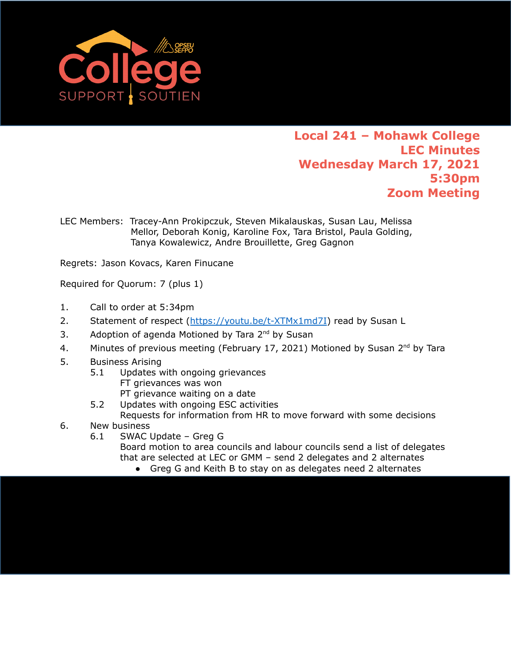

## **Local 241 – Mohawk College LEC Minutes Wednesday March 17, 2021 5:30pm Zoom Meeting**

LEC Members: Tracey-Ann Prokipczuk, Steven Mikalauskas, Susan Lau, Melissa Mellor, Deborah Konig, Karoline Fox, Tara Bristol, Paula Golding, Tanya Kowalewicz, Andre Brouillette, Greg Gagnon

Regrets: Jason Kovacs, Karen Finucane

Required for Quorum: 7 (plus 1)

- 1. Call to order at 5:34pm
- 2. Statement of respect ([https://youtu.be/t-XTMx1md7I\)](https://youtu.be/t-XTMx1md7I) read by Susan L
- 3. Adoption of agenda Motioned by Tara 2<sup>nd</sup> by Susan
- 4. Minutes of previous meeting (February 17, 2021) Motioned by Susan 2<sup>nd</sup> by Tara
- 5. Business Arising
	- 5.1 Updates with ongoing grievances FT grievances was won
		- PT grievance waiting on a date
	- 5.2 Updates with ongoing ESC activities Requests for information from HR to move forward with some decisions
- 6. New business
	- 6.1 SWAC Update Greg G

Board motion to area councils and labour councils send a list of delegates that are selected at LEC or GMM – send 2 delegates and 2 alternates

● Greg G and Keith B to stay on as delegates need 2 alternates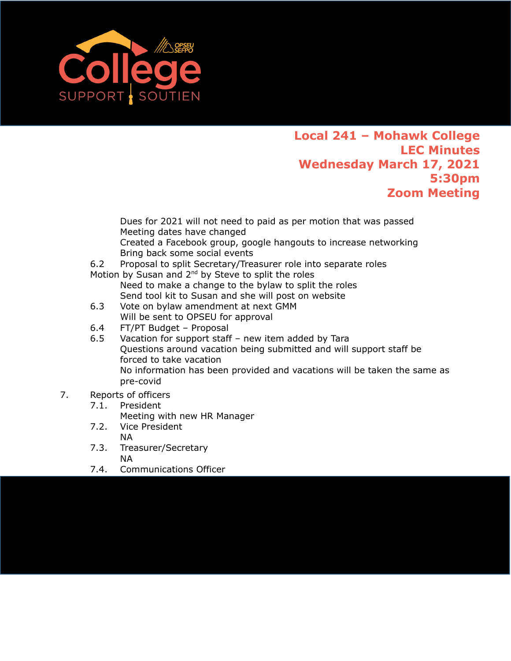

## **Local 241 – Mohawk College LEC Minutes Wednesday March 17, 2021 5:30pm Zoom Meeting**

Dues for 2021 will not need to paid as per motion that was passed Meeting dates have changed

Created a Facebook group, google hangouts to increase networking Bring back some social events

- 6.2 Proposal to split Secretary/Treasurer role into separate roles
- Motion by Susan and 2<sup>nd</sup> by Steve to split the roles Need to make a change to the bylaw to split the roles Send tool kit to Susan and she will post on website
- 6.3 Vote on bylaw amendment at next GMM Will be sent to OPSEU for approval
- 6.4 FT/PT Budget Proposal
- 6.5 Vacation for support staff new item added by Tara Questions around vacation being submitted and will support staff be forced to take vacation No information has been provided and vacations will be taken the same as pre-covid
- 7. Reports of officers
	- 7.1. President
		- Meeting with new HR Manager
	- 7.2. Vice President NA
	- 7.3. Treasurer/Secretary NA
	- 7.4. Communications Officer